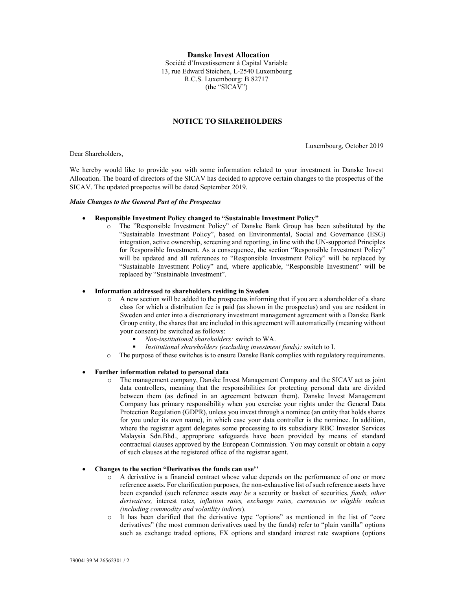Danske Invest Allocation Société d'Investissement à Capital Variable 13, rue Edward Steichen, L-2540 Luxembourg R.C.S. Luxembourg: B 82717 (the "SICAV")

# NOTICE TO SHAREHOLDERS

Luxembourg, October 2019

Dear Shareholders,

We hereby would like to provide you with some information related to your investment in Danske Invest Allocation. The board of directors of the SICAV has decided to approve certain changes to the prospectus of the SICAV. The updated prospectus will be dated September 2019.

## Main Changes to the General Part of the Prospectus

# Responsible Investment Policy changed to "Sustainable Investment Policy"

o The "Responsible Investment Policy" of Danske Bank Group has been substituted by the "Sustainable Investment Policy", based on Environmental, Social and Governance (ESG) integration, active ownership, screening and reporting, in line with the UN-supported Principles for Responsible Investment. As a consequence, the section "Responsible Investment Policy" will be updated and all references to "Responsible Investment Policy" will be replaced by "Sustainable Investment Policy" and, where applicable, "Responsible Investment" will be replaced by "Sustainable Investment".

### Information addressed to shareholders residing in Sweden

- o A new section will be added to the prospectus informing that if you are a shareholder of a share class for which a distribution fee is paid (as shown in the prospectus) and you are resident in Sweden and enter into a discretionary investment management agreement with a Danske Bank Group entity, the shares that are included in this agreement will automatically (meaning without your consent) be switched as follows:
	- Non-institutional shareholders: switch to WA.
	- Institutional shareholders (excluding investment funds): switch to I.
- o The purpose of these switches is to ensure Danske Bank complies with regulatory requirements.

### Further information related to personal data

o The management company, Danske Invest Management Company and the SICAV act as joint data controllers, meaning that the responsibilities for protecting personal data are divided between them (as defined in an agreement between them). Danske Invest Management Company has primary responsibility when you exercise your rights under the General Data Protection Regulation (GDPR), unless you invest through a nominee (an entity that holds shares for you under its own name), in which case your data controller is the nominee. In addition, where the registrar agent delegates some processing to its subsidiary RBC Investor Services Malaysia Sdn.Bhd., appropriate safeguards have been provided by means of standard contractual clauses approved by the European Commission. You may consult or obtain a copy of such clauses at the registered office of the registrar agent.

#### Changes to the section "Derivatives the funds can use''

- o A derivative is a financial contract whose value depends on the performance of one or more reference assets. For clarification purposes, the non-exhaustive list of such reference assets have been expanded (such reference assets may be a security or basket of securities, funds, other derivatives, interest rates, inflation rates, exchange rates, currencies or eligible indices (including commodity and volatility indices).
- o It has been clarified that the derivative type "options" as mentioned in the list of "core derivatives" (the most common derivatives used by the funds) refer to "plain vanilla" options such as exchange traded options, FX options and standard interest rate swaptions (options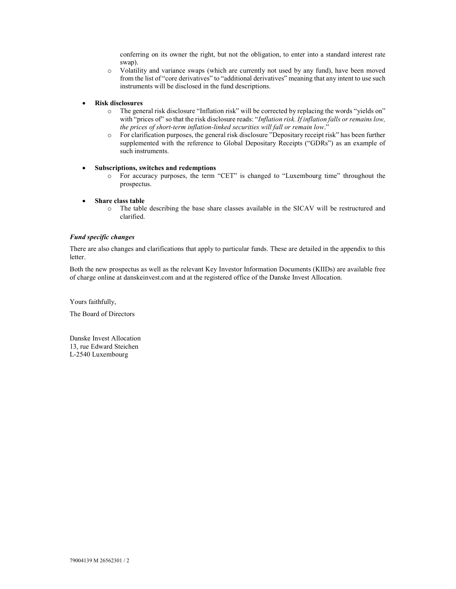conferring on its owner the right, but not the obligation, to enter into a standard interest rate swap).

- o Volatility and variance swaps (which are currently not used by any fund), have been moved from the list of "core derivatives" to "additional derivatives" meaning that any intent to use such instruments will be disclosed in the fund descriptions.
- Risk disclosures
	- o The general risk disclosure "Inflation risk" will be corrected by replacing the words "yields on" with "prices of" so that the risk disclosure reads: "Inflation risk. If inflation falls or remains low, the prices of short-term inflation-linked securities will fall or remain low."
	- o For clarification purposes, the general risk disclosure "Depositary receipt risk" has been further supplemented with the reference to Global Depositary Receipts ("GDRs") as an example of such instruments.
- Subscriptions, switches and redemptions
	- o For accuracy purposes, the term "CET" is changed to "Luxembourg time" throughout the prospectus.
- Share class table
	- o The table describing the base share classes available in the SICAV will be restructured and clarified.

## Fund specific changes

There are also changes and clarifications that apply to particular funds. These are detailed in the appendix to this letter.

Both the new prospectus as well as the relevant Key Investor Information Documents (KIIDs) are available free of charge online at danskeinvest.com and at the registered office of the Danske Invest Allocation.

Yours faithfully,

The Board of Directors

Danske Invest Allocation 13, rue Edward Steichen L-2540 Luxembourg